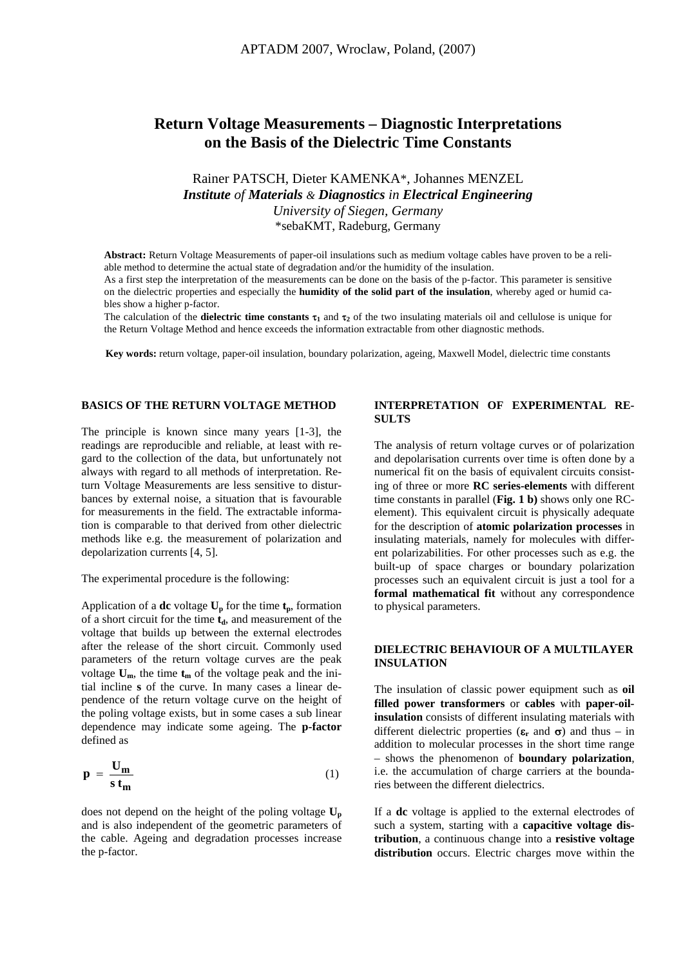# **Return Voltage Measurements – Diagnostic Interpretations on the Basis of the Dielectric Time Constants**

# Rainer PATSCH, Dieter KAMENKA\*, Johannes MENZEL *Institute of Materials & Diagnostics in Electrical Engineering University of Siegen, Germany*  \*sebaKMT, Radeburg, Germany

**Abstract:** Return Voltage Measurements of paper-oil insulations such as medium voltage cables have proven to be a reliable method to determine the actual state of degradation and/or the humidity of the insulation.

As a first step the interpretation of the measurements can be done on the basis of the p-factor. This parameter is sensitive on the dielectric properties and especially the **humidity of the solid part of the insulation**, whereby aged or humid cables show a higher p-factor.

The calculation of the **dielectric time constants**  $\tau_1$  and  $\tau_2$  of the two insulating materials oil and cellulose is unique for the Return Voltage Method and hence exceeds the information extractable from other diagnostic methods.

**Key words:** return voltage, paper-oil insulation, boundary polarization, ageing, Maxwell Model, dielectric time constants

#### **BASICS OF THE RETURN VOLTAGE METHOD**

The principle is known since many years [1-3], the readings are reproducible and reliable, at least with regard to the collection of the data, but unfortunately not always with regard to all methods of interpretation. Return Voltage Measurements are less sensitive to disturbances by external noise, a situation that is favourable for measurements in the field. The extractable information is comparable to that derived from other dielectric methods like e.g. the measurement of polarization and depolarization currents [4, 5].

The experimental procedure is the following:

Application of a **dc** voltage  $U_p$  for the time  $t_p$ , formation of a short circuit for the time  $t_d$ , and measurement of the voltage that builds up between the external electrodes after the release of the short circuit. Commonly used parameters of the return voltage curves are the peak voltage  $U_m$ , the time  $t_m$  of the voltage peak and the initial incline **s** of the curve. In many cases a linear dependence of the return voltage curve on the height of the poling voltage exists, but in some cases a sub linear dependence may indicate some ageing. The **p-factor** defined as

$$
p = \frac{U_m}{s \, t_m} \tag{1}
$$

does not depend on the height of the poling voltage  $U_p$ and is also independent of the geometric parameters of the cable. Ageing and degradation processes increase the p-factor.

# **INTERPRETATION OF EXPERIMENTAL RE-SULTS**

The analysis of return voltage curves or of polarization and depolarisation currents over time is often done by a numerical fit on the basis of equivalent circuits consisting of three or more **RC series-elements** with different time constants in parallel (**Fig. 1 b)** shows only one RCelement). This equivalent circuit is physically adequate for the description of **atomic polarization processes** in insulating materials, namely for molecules with different polarizabilities. For other processes such as e.g. the built-up of space charges or boundary polarization processes such an equivalent circuit is just a tool for a **formal mathematical fit** without any correspondence to physical parameters.

# **DIELECTRIC BEHAVIOUR OF A MULTILAYER INSULATION**

The insulation of classic power equipment such as **oil filled power transformers** or **cables** with **paper-oilinsulation** consists of different insulating materials with different dielectric properties  $(\epsilon_r$  and  $\sigma)$  and thus – in addition to molecular processes in the short time range – shows the phenomenon of **boundary polarization**, i.e. the accumulation of charge carriers at the boundaries between the different dielectrics.

If a **dc** voltage is applied to the external electrodes of such a system, starting with a **capacitive voltage distribution**, a continuous change into a **resistive voltage distribution** occurs. Electric charges move within the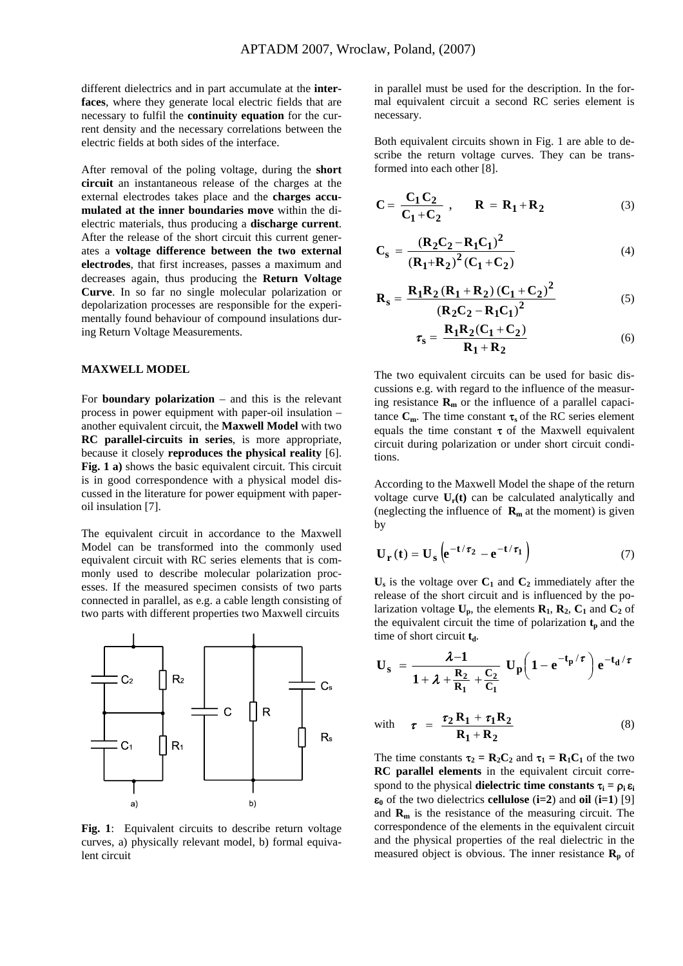different dielectrics and in part accumulate at the **interfaces**, where they generate local electric fields that are necessary to fulfil the **continuity equation** for the current density and the necessary correlations between the electric fields at both sides of the interface.

After removal of the poling voltage, during the **short circuit** an instantaneous release of the charges at the external electrodes takes place and the **charges accumulated at the inner boundaries move** within the dielectric materials, thus producing a **discharge current**. After the release of the short circuit this current generates a **voltage difference between the two external electrodes**, that first increases, passes a maximum and decreases again, thus producing the **Return Voltage Curve**. In so far no single molecular polarization or depolarization processes are responsible for the experimentally found behaviour of compound insulations during Return Voltage Measurements.

#### **MAXWELL MODEL**

For **boundary polarization** – and this is the relevant process in power equipment with paper-oil insulation – another equivalent circuit, the **Maxwell Model** with two **RC parallel-circuits in series**, is more appropriate, because it closely **reproduces the physical reality** [6]. **Fig. 1 a)** shows the basic equivalent circuit. This circuit is in good correspondence with a physical model discussed in the literature for power equipment with paperoil insulation [7].

The equivalent circuit in accordance to the Maxwell Model can be transformed into the commonly used equivalent circuit with RC series elements that is commonly used to describe molecular polarization processes. If the measured specimen consists of two parts connected in parallel, as e.g. a cable length consisting of two parts with different properties two Maxwell circuits



**Fig. 1**: Equivalent circuits to describe return voltage curves, a) physically relevant model, b) formal equivalent circuit

in parallel must be used for the description. In the formal equivalent circuit a second RC series element is necessary.

Both equivalent circuits shown in Fig. 1 are able to describe the return voltage curves. They can be transformed into each other [8].

$$
\mathbf{C} = \frac{\mathbf{C}_1 \mathbf{C}_2}{\mathbf{C}_1 + \mathbf{C}_2} , \qquad \mathbf{R} = \mathbf{R}_1 + \mathbf{R}_2
$$
 (3)

$$
C_{s} = \frac{(R_{2}C_{2} - R_{1}C_{1})^{2}}{(R_{1}+R_{2})^{2}(C_{1} + C_{2})}
$$
\n(4)

$$
R_s = \frac{R_1 R_2 (R_1 + R_2) (C_1 + C_2)^2}{(R_2 C_2 - R_1 C_1)^2}
$$
(5)

$$
\tau_{\rm S} = \frac{\mathbf{R}_1 \mathbf{R}_2 (\mathbf{C}_1 + \mathbf{C}_2)}{\mathbf{R}_1 + \mathbf{R}_2} \tag{6}
$$

The two equivalent circuits can be used for basic discussions e.g. with regard to the influence of the measuring resistance  $\mathbf{R}_{\text{m}}$  or the influence of a parallel capacitance  $C_m$ . The time constant  $\tau_s$  of the RC series element equals the time constant  $\tau$  of the Maxwell equivalent circuit during polarization or under short circuit conditions.

According to the Maxwell Model the shape of the return voltage curve  $U_r(t)$  can be calculated analytically and (neglecting the influence of  $\mathbf{R}_{m}$  at the moment) is given by

$$
\mathbf{U}_{\mathbf{r}}\left(t\right) = \mathbf{U}_{\mathbf{s}}\left(e^{-t/\tau_{2}} - e^{-t/\tau_{1}}\right)
$$
 (7)

 $U_s$  is the voltage over  $C_1$  and  $C_2$  immediately after the release of the short circuit and is influenced by the polarization voltage  $U_p$ , the elements  $\mathbf{R}_1$ ,  $\mathbf{R}_2$ ,  $C_1$  and  $C_2$  of the equivalent circuit the time of polarization  $t_p$  and the time of short circuit **t**<sub>d</sub>.

$$
U_s = \frac{\lambda - 1}{1 + \lambda + \frac{R_2}{R_1} + \frac{C_2}{C_1}} U_p \left( 1 - e^{-t_p/\tau} \right) e^{-t_d/\tau}
$$
  
with  $\tau = \frac{\tau_2 R_1 + \tau_1 R_2}{\tau_1}$  (8)

with 
$$
\tau = \frac{\tau_2 R_1 + \tau_1 R_2}{R_1 + R_2}
$$
 (8)

The time constants  $\tau_2 = \mathbf{R}_2 \mathbf{C}_2$  and  $\tau_1 = \mathbf{R}_1 \mathbf{C}_1$  of the two **RC parallel elements** in the equivalent circuit correspond to the physical **dielectric time constants**  $\tau_i = \rho_i \varepsilon_i$ ε**0** of the two dielectrics **cellulose** (**i=2**) and **oil** (**i=1**) [9] and **Rm** is the resistance of the measuring circuit. The correspondence of the elements in the equivalent circuit and the physical properties of the real dielectric in the measured object is obvious. The inner resistance  $\mathbf{R}_{\text{p}}$  of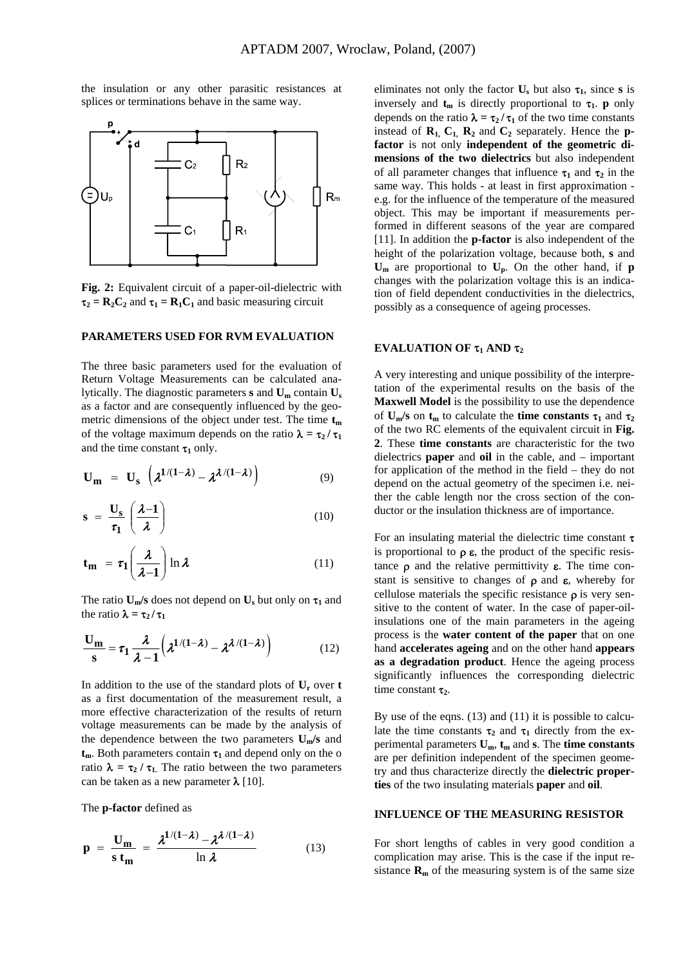the insulation or any other parasitic resistances at splices or terminations behave in the same way.



**Fig. 2:** Equivalent circuit of a paper-oil-dielectric with  $\tau_2 = R_2C_2$  and  $\tau_1 = R_1C_1$  and basic measuring circuit

# **PARAMETERS USED FOR RVM EVALUATION**

The three basic parameters used for the evaluation of Return Voltage Measurements can be calculated analytically. The diagnostic parameters **s** and **Um** contain **Us** as a factor and are consequently influenced by the geometric dimensions of the object under test. The time  $t_m$ of the voltage maximum depends on the ratio  $\lambda = \tau_2 / \tau_1$ and the time constant  $\tau_1$  only.

$$
\mathbf{U}_{\mathbf{m}} = \mathbf{U}_{\mathbf{s}} \left( \lambda^{1/(1-\lambda)} - \lambda^{\lambda/(1-\lambda)} \right) \tag{9}
$$

$$
s = \frac{U_s}{\tau_1} \left( \frac{\lambda - 1}{\lambda} \right) \tag{10}
$$

$$
\mathbf{t}_{\mathbf{m}} = \tau_1 \left( \frac{\lambda}{\lambda - 1} \right) \ln \lambda \tag{11}
$$

The ratio  $U_m/s$  does not depend on  $U_s$  but only on  $\tau_1$  and the ratio  $\lambda = \tau_2 / \tau_1$ 

$$
\frac{U_m}{s} = \tau_1 \frac{\lambda}{\lambda - 1} \left( \lambda^{1/(1 - \lambda)} - \lambda^{\lambda/(1 - \lambda)} \right)
$$
 (12)

In addition to the use of the standard plots of **Ur** over **t**  as a first documentation of the measurement result, a more effective characterization of the results of return voltage measurements can be made by the analysis of the dependence between the two parameters **Um/s** and  $t_m$ . Both parameters contain  $\tau_1$  and depend only on the o ratio  $\lambda = \tau_2 / \tau_1$ . The ratio between the two parameters can be taken as a new parameter  $\lambda$  [10].

The **p-factor** defined as

$$
\mathbf{p} = \frac{\mathbf{U_m}}{\mathbf{s} \, \mathbf{t_m}} = \frac{\lambda^{1/(1-\lambda)} - \lambda^{\lambda/(1-\lambda)}}{\ln \lambda} \tag{13}
$$

eliminates not only the factor  $\mathbf{U}_s$  but also  $\tau_1$ , since **s** is inversely and  $t_m$  is directly proportional to  $\tau_1$ . **p** only depends on the ratio  $\lambda = \tau_2 / \tau_1$  of the two time constants instead of  $\mathbf{R}_1$ ,  $\mathbf{C}_1$ ,  $\mathbf{R}_2$  and  $\mathbf{C}_2$  separately. Hence the **pfactor** is not only **independent of the geometric dimensions of the two dielectrics** but also independent of all parameter changes that influence  $\tau_1$  and  $\tau_2$  in the same way. This holds - at least in first approximation e.g. for the influence of the temperature of the measured object. This may be important if measurements performed in different seasons of the year are compared [11]. In addition the **p-factor** is also independent of the height of the polarization voltage, because both, **s** and **Um** are proportional to **Up**. On the other hand, if **p** changes with the polarization voltage this is an indication of field dependent conductivities in the dielectrics, possibly as a consequence of ageing processes.

# **EVALUATION OF**  $\tau_1$  **AND**  $\tau_2$

A very interesting and unique possibility of the interpretation of the experimental results on the basis of the **Maxwell Model** is the possibility to use the dependence of  $U_m/s$  on  $t_m$  to calculate the **time constants**  $\tau_1$  and  $\tau_2$ of the two RC elements of the equivalent circuit in **Fig. 2**. These **time constants** are characteristic for the two dielectrics **paper** and **oil** in the cable, and – important for application of the method in the field – they do not depend on the actual geometry of the specimen i.e. neither the cable length nor the cross section of the conductor or the insulation thickness are of importance.

For an insulating material the dielectric time constant  $\tau$ is proportional to  $\rho \varepsilon$ , the product of the specific resistance  $\rho$  and the relative permittivity  $\varepsilon$ . The time constant is sensitive to changes of  $\rho$  and  $\varepsilon$ , whereby for cellulose materials the specific resistance  $\rho$  is very sensitive to the content of water. In the case of paper-oilinsulations one of the main parameters in the ageing process is the **water content of the paper** that on one hand **accelerates ageing** and on the other hand **appears as a degradation product**. Hence the ageing process significantly influences the corresponding dielectric time constant **τ**<sub>2</sub>.

By use of the eqns. (13) and (11) it is possible to calculate the time constants  $\tau_2$  and  $\tau_1$  directly from the experimental parameters  $U_m$ ,  $t_m$  and  $s$ . The **time constants** are per definition independent of the specimen geometry and thus characterize directly the **dielectric properties** of the two insulating materials **paper** and **oil**.

#### **INFLUENCE OF THE MEASURING RESISTOR**

For short lengths of cables in very good condition a complication may arise. This is the case if the input resistance  $\mathbf{R}_{\text{m}}$  of the measuring system is of the same size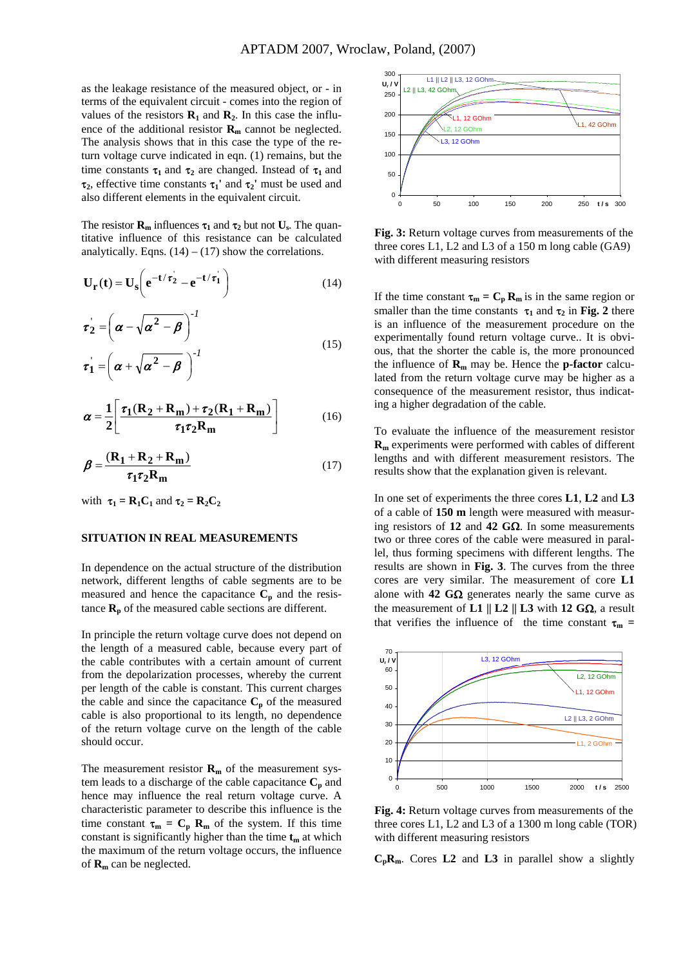as the leakage resistance of the measured object, or - in terms of the equivalent circuit - comes into the region of values of the resistors  $\mathbf{R}_1$  and  $\mathbf{R}_2$ . In this case the influence of the additional resistor  $\mathbf{R}_{\text{m}}$  cannot be neglected. The analysis shows that in this case the type of the return voltage curve indicated in eqn. (1) remains, but the time constants  $\tau_1$  and  $\tau_2$  are changed. Instead of  $\tau_1$  and τ**2**, effective time constants τ**1'** and τ**2'** must be used and also different elements in the equivalent circuit.

The resistor  $\mathbf{R}_m$  influences  $\tau_1$  and  $\tau_2$  but not  $\mathbf{U}_s$ . The quantitative influence of this resistance can be calculated analytically. Eqns.  $(14) - (17)$  show the correlations.

$$
\mathbf{U}_{\mathbf{r}}(\mathbf{t}) = \mathbf{U}_{\mathbf{s}} \left( \mathbf{e}^{-\mathbf{t}/\tau_2} - \mathbf{e}^{-\mathbf{t}/\tau_1} \right) \tag{14}
$$

$$
\tau_2 = \left(\alpha - \sqrt{\alpha^2 - \beta}\right)^{-1}
$$
  
\n
$$
\tau_1 = \left(\alpha + \sqrt{\alpha^2 - \beta}\right)^{-1}
$$
 (15)

$$
\alpha = \frac{1}{2} \left[ \frac{\tau_1 (R_2 + R_m) + \tau_2 (R_1 + R_m)}{\tau_1 \tau_2 R_m} \right]
$$
(16)

$$
\beta = \frac{(\mathbf{R}_1 + \mathbf{R}_2 + \mathbf{R}_m)}{\tau_1 \tau_2 \mathbf{R}_m}
$$
(17)

with  $\tau_1 = \mathbf{R}_1 \mathbf{C}_1$  and  $\tau_2 = \mathbf{R}_2 \mathbf{C}_2$ 

#### **SITUATION IN REAL MEASUREMENTS**

In dependence on the actual structure of the distribution network, different lengths of cable segments are to be measured and hence the capacitance  $C_p$  and the resistance  $\mathbf{R}_{p}$  of the measured cable sections are different.

In principle the return voltage curve does not depend on the length of a measured cable, because every part of the cable contributes with a certain amount of current from the depolarization processes, whereby the current per length of the cable is constant. This current charges the cable and since the capacitance  $C_p$  of the measured cable is also proportional to its length, no dependence of the return voltage curve on the length of the cable should occur.

The measurement resistor  $\mathbf{R}_{m}$  of the measurement system leads to a discharge of the cable capacitance  $C_p$  and hence may influence the real return voltage curve. A characteristic parameter to describe this influence is the time constant  $\tau_m = C_p R_m$  of the system. If this time constant is significantly higher than the time  $t_m$  at which the maximum of the return voltage occurs, the influence of **Rm** can be neglected.



**Fig. 3:** Return voltage curves from measurements of the three cores L1, L2 and L3 of a 150 m long cable (GA9) with different measuring resistors

If the time constant  $\tau_m = C_p R_m$  is in the same region or smaller than the time constants  $\tau_1$  and  $\tau_2$  in Fig. 2 there is an influence of the measurement procedure on the experimentally found return voltage curve.. It is obvious, that the shorter the cable is, the more pronounced the influence of  $\mathbf{R}_m$  may be. Hence the **p-factor** calculated from the return voltage curve may be higher as a consequence of the measurement resistor, thus indicating a higher degradation of the cable.

To evaluate the influence of the measurement resistor **Rm** experiments were performed with cables of different lengths and with different measurement resistors. The results show that the explanation given is relevant.

In one set of experiments the three cores **L1**, **L2** and **L3** of a cable of **150 m** length were measured with measuring resistors of **12** and **42 G**Ω. In some measurements two or three cores of the cable were measured in parallel, thus forming specimens with different lengths. The results are shown in **Fig. 3**. The curves from the three cores are very similar. The measurement of core **L1**  alone with **42 G** $\Omega$  generates nearly the same curve as the measurement of **L1 || L2 || L3** with **12 G**Ω, a result that verifies the influence of the time constant  $\tau_m$  =



**Fig. 4:** Return voltage curves from measurements of the three cores L1, L2 and L3 of a 1300 m long cable (TOR) with different measuring resistors

**CpRm**. Cores **L2** and **L3** in parallel show a slightly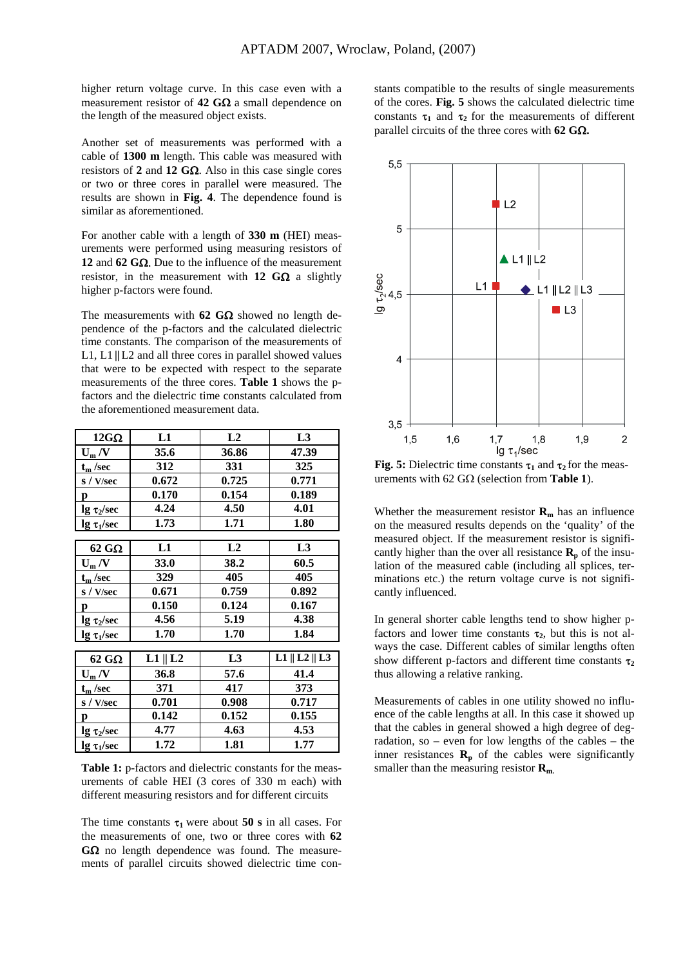higher return voltage curve. In this case even with a measurement resistor of **42 G**Ω a small dependence on the length of the measured object exists.

Another set of measurements was performed with a cable of **1300 m** length. This cable was measured with resistors of **2** and **12 G**Ω. Also in this case single cores or two or three cores in parallel were measured. The results are shown in **Fig. 4**. The dependence found is similar as aforementioned.

For another cable with a length of **330 m** (HEI) measurements were performed using measuring resistors of **12** and **62 G**Ω. Due to the influence of the measurement resistor, in the measurement with **12 G**Ω a slightly higher p-factors were found.

The measurements with **62 G**Ω showed no length dependence of the p-factors and the calculated dielectric time constants. The comparison of the measurements of L1, L1 **||**L2 and all three cores in parallel showed values that were to be expected with respect to the separate measurements of the three cores. **Table 1** shows the pfactors and the dielectric time constants calculated from the aforementioned measurement data.

| $12G\Omega$             | L1                | L2             | L3                             |
|-------------------------|-------------------|----------------|--------------------------------|
| $U_m/V$                 | 35.6              | 36.86          | 47.39                          |
| $t_{\rm m}$ /sec        | 312               | 331            | 325                            |
| s / V/sec               | 0.672             | 0.725          | 0.771                          |
| p                       | 0.170             | 0.154          | 0.189                          |
| $\lg \tau_2$ /sec       | 4.24              | 4.50           | 4.01                           |
| lg $\tau_1$ /sec        | 1.73              | 1.71           | 1.80                           |
|                         |                   |                |                                |
| $62\,G\Omega$           | L1                | L2             | L3                             |
| $U_m/V$                 | <b>33.0</b>       | 38.2           | 60.5                           |
| $t_m$ /sec              | 329               | 405            | 405                            |
| s / V/sec               | 0.671             | 0.759          | 0.892                          |
| p                       | 0.150             | 0.124          | 0.167                          |
| $\lg \tau_2$ /sec       | 4.56              | 5.19           | 4.38                           |
| $\lg \tau_1/\text{sec}$ | 1.70              | 1.70           | 1.84                           |
|                         |                   |                |                                |
| $62$ GQ                 | $L1 \parallel L2$ | L <sub>3</sub> | $L1 \parallel L2 \parallel L3$ |
| $U_m/V$                 | 36.8              | 57.6           | 41.4                           |
| $t_m$ /sec              | 371               | 417            | 373                            |
| s / V/sec               | 0.701             | 0.908          | 0.717                          |
| p                       | 0.142             | 0.152          | 0.155                          |
| $\lg \tau_2$ /sec       | 4.77              | 4.63           | 4.53                           |
| $\lg \tau_1/\text{sec}$ | 1.72              | 1.81           | 1.77                           |

Table 1: p-factors and dielectric constants for the measurements of cable HEI (3 cores of 330 m each) with different measuring resistors and for different circuits

The time constants  $\tau_1$  were about **50 s** in all cases. For the measurements of one, two or three cores with **62 G**Ω no length dependence was found. The measurements of parallel circuits showed dielectric time constants compatible to the results of single measurements of the cores. **Fig. 5** shows the calculated dielectric time constants  $\tau_1$  and  $\tau_2$  for the measurements of different parallel circuits of the three cores with **62 G**Ω**.**



**Fig. 5:** Dielectric time constants  $\tau_1$  and  $\tau_2$  for the measurements with 62 GΩ (selection from **Table 1**).

Whether the measurement resistor  $\mathbf{R}_{m}$  has an influence on the measured results depends on the 'quality' of the measured object. If the measurement resistor is significantly higher than the over all resistance  $\mathbf{R}_p$  of the insulation of the measured cable (including all splices, terminations etc.) the return voltage curve is not significantly influenced.

In general shorter cable lengths tend to show higher pfactors and lower time constants  $\tau_2$ , but this is not always the case. Different cables of similar lengths often show different p-factors and different time constants **τ**<sub>2</sub> thus allowing a relative ranking.

Measurements of cables in one utility showed no influence of the cable lengths at all. In this case it showed up that the cables in general showed a high degree of degradation, so – even for low lengths of the cables – the inner resistances  $\mathbf{R}_p$  of the cables were significantly smaller than the measuring resistor  $\mathbf{R}_{m}$ .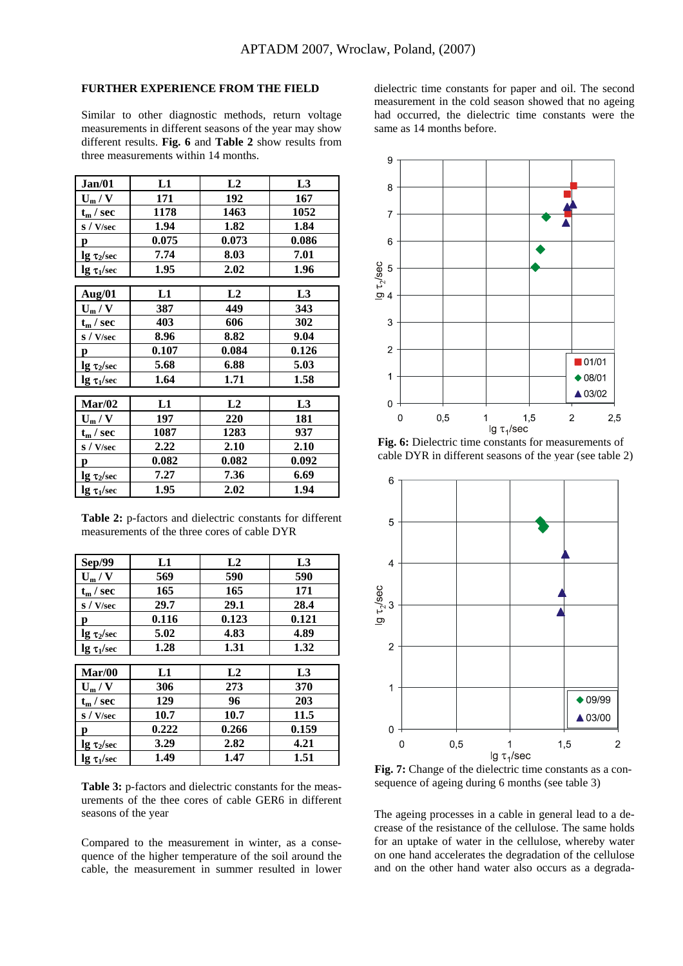# **FURTHER EXPERIENCE FROM THE FIELD**

Similar to other diagnostic methods, return voltage measurements in different seasons of the year may show different results. **Fig. 6** and **Table 2** show results from three measurements within 14 months.

| Jan/01                  | L1    | L2    | L <sub>3</sub> |
|-------------------------|-------|-------|----------------|
| $U_m / V$               | 171   | 192   | 167            |
| $t_m$ / sec             | 1178  | 1463  | 1052           |
| s / V/sec               | 1.94  | 1.82  | 1.84           |
| $\mathbf{p}$            | 0.075 | 0.073 | 0.086          |
| $\lg \tau_2/\text{sec}$ | 7.74  | 8.03  | 7.01           |
| $\lg \tau_1/\text{sec}$ | 1.95  | 2.02  | 1.96           |
|                         |       |       |                |
| Aug/01                  | L1    | L2    | L <sub>3</sub> |
| $U_m/V$                 | 387   | 449   | 343            |
| $t_m$ / sec             | 403   | 606   | 302            |
| s / V/sec               | 8.96  | 8.82  | 9.04           |
| p                       | 0.107 | 0.084 | 0.126          |
| $\lg \tau_2$ /sec       | 5.68  | 6.88  | 5.03           |
| $\lg \tau_1/\text{sec}$ | 1.64  | 1.71  | 1.58           |
|                         |       |       |                |
| Mar/02                  | L1    | L2    | L <sub>3</sub> |
| $U_m/V$                 | 197   | 220   | 181            |
| $t_m$ / sec             | 1087  | 1283  | 937            |
| S / V/sec               | 2.22  | 2.10  | 2.10           |
| p                       | 0.082 | 0.082 | 0.092          |
| $\lg \tau_2$ /sec       | 7.27  | 7.36  | 6.69           |
| $\lg \tau_1/\text{sec}$ | 1.95  | 2.02  | 1.94           |

**Table 2:** p-factors and dielectric constants for different measurements of the three cores of cable DYR

| <b>Sep/99</b>           | L1    | L2    | L <sub>3</sub> |
|-------------------------|-------|-------|----------------|
| $U_m/V$                 | 569   | 590   | 590            |
| $t_m$ / sec             | 165   | 165   | 171            |
| S / V/sec               | 29.7  | 29.1  | 28.4           |
| р                       | 0.116 | 0.123 | 0.121          |
| $\lg \tau_2$ /sec       | 5.02  | 4.83  | 4.89           |
| $\lg \tau_1/\text{sec}$ | 1.28  | 1.31  | 1.32           |
|                         |       |       |                |
| Mar/00                  | L1    | L2    | L <sub>3</sub> |
| $U_m/V$                 | 306   | 273   | 370            |
| $t_m$ / sec             | 129   | 96    | 203            |
| S / V/sec               | 10.7  | 10.7  | 11.5           |
| n                       | 0.222 | 0.266 | 0.159          |
| $\lg \tau_2$ /sec       | 3.29  | 2.82  | 4.21           |
| $\lg \tau_1/\text{sec}$ | 1.49  | 1.47  | 1.51           |

**Table 3:** p-factors and dielectric constants for the measurements of the thee cores of cable GER6 in different seasons of the year

Compared to the measurement in winter, as a consequence of the higher temperature of the soil around the cable, the measurement in summer resulted in lower

dielectric time constants for paper and oil. The second measurement in the cold season showed that no ageing had occurred, the dielectric time constants were the same as 14 months before.



**Fig. 6:** Dielectric time constants for measurements of cable DYR in different seasons of the year (see table 2)



**Fig. 7:** Change of the dielectric time constants as a consequence of ageing during 6 months (see table 3)

The ageing processes in a cable in general lead to a decrease of the resistance of the cellulose. The same holds for an uptake of water in the cellulose, whereby water on one hand accelerates the degradation of the cellulose and on the other hand water also occurs as a degrada